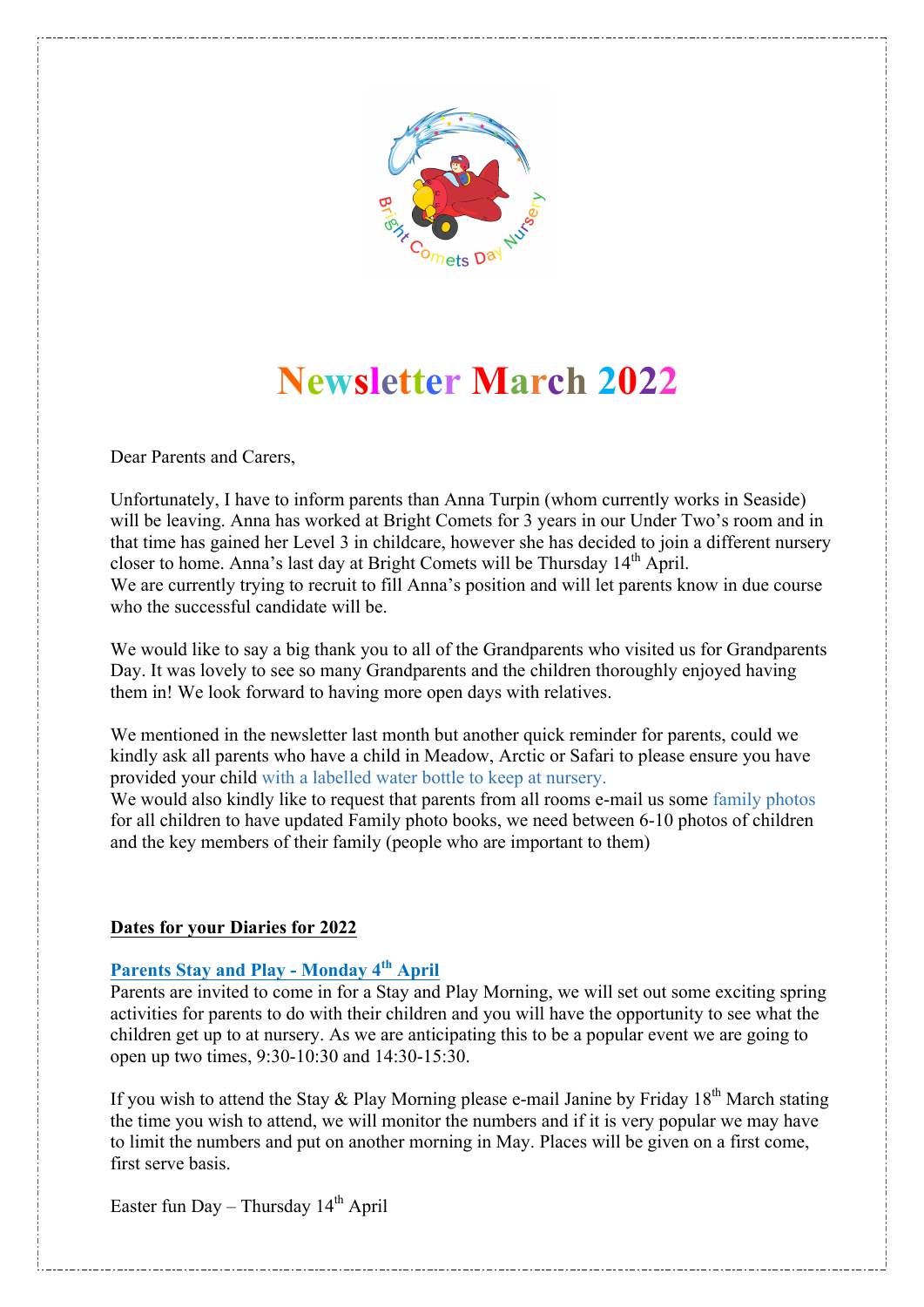

# **Newsletter March 2022**

Dear Parents and Carers,

Unfortunately, I have to inform parents than Anna Turpin (whom currently works in Seaside) will be leaving. Anna has worked at Bright Comets for 3 years in our Under Two's room and in that time has gained her Level 3 in childcare, however she has decided to join a different nursery closer to home. Anna's last day at Bright Comets will be Thursday 14<sup>th</sup> April. We are currently trying to recruit to fill Anna's position and will let parents know in due course who the successful candidate will be.

We would like to say a big thank you to all of the Grandparents who visited us for Grandparents Day. It was lovely to see so many Grandparents and the children thoroughly enjoyed having them in! We look forward to having more open days with relatives.

We mentioned in the newsletter last month but another quick reminder for parents, could we kindly ask all parents who have a child in Meadow, Arctic or Safari to please ensure you have provided your child with a labelled water bottle to keep at nursery.

We would also kindly like to request that parents from all rooms e-mail us some family photos for all children to have updated Family photo books, we need between 6-10 photos of children and the key members of their family (people who are important to them)

#### **Dates for your Diaries for 2022**

## **Parents Stay and Play - Monday 4th April**

Parents are invited to come in for a Stay and Play Morning, we will set out some exciting spring activities for parents to do with their children and you will have the opportunity to see what the children get up to at nursery. As we are anticipating this to be a popular event we are going to open up two times, 9:30-10:30 and 14:30-15:30.

If you wish to attend the Stay & Play Morning please e-mail Janine by Friday  $18<sup>th</sup>$  March stating the time you wish to attend, we will monitor the numbers and if it is very popular we may have to limit the numbers and put on another morning in May. Places will be given on a first come, first serve basis.

Easter fun Day – Thursday  $14<sup>th</sup>$  April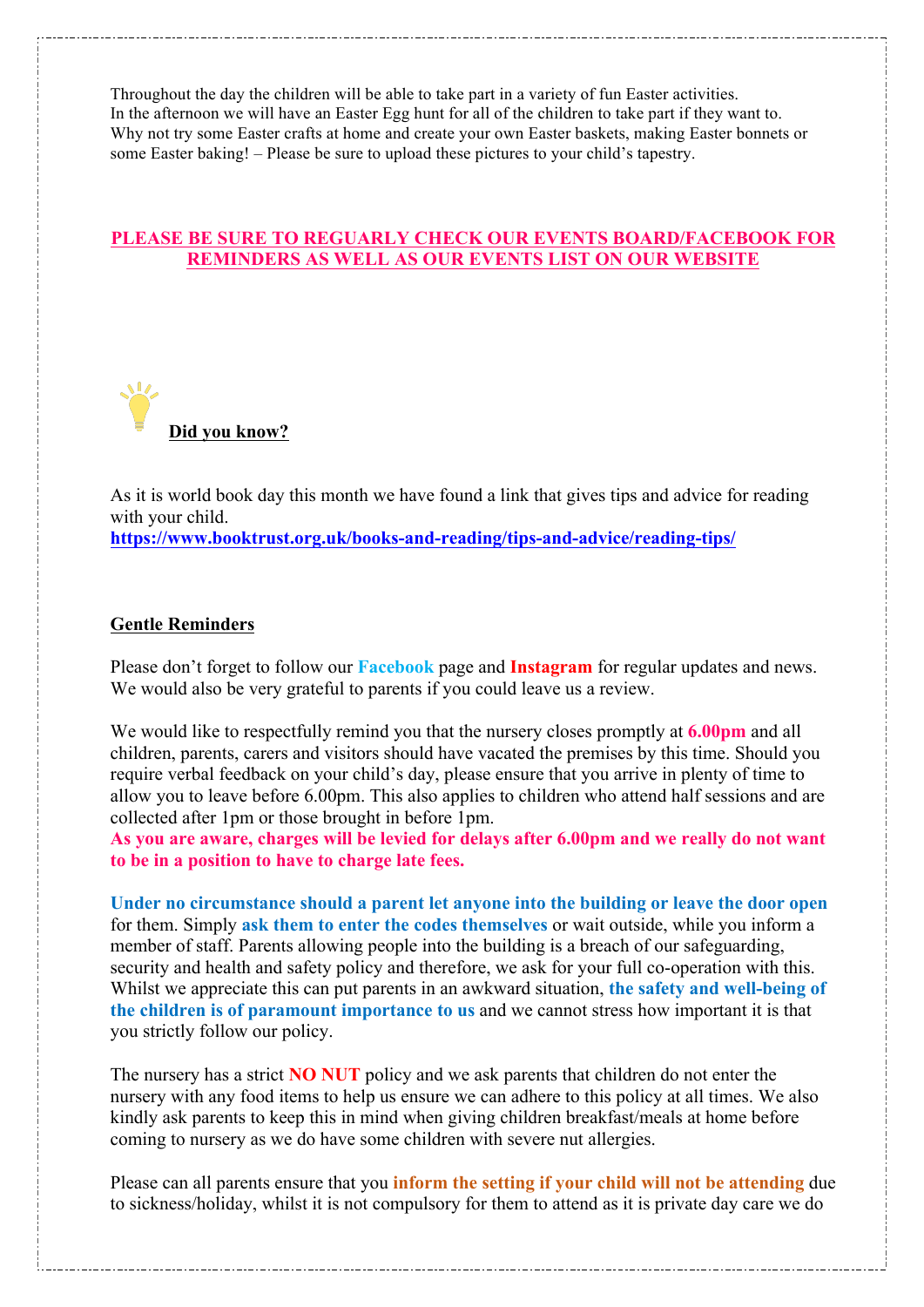Throughout the day the children will be able to take part in a variety of fun Easter activities. In the afternoon we will have an Easter Egg hunt for all of the children to take part if they want to. Why not try some Easter crafts at home and create your own Easter baskets, making Easter bonnets or some Easter baking! – Please be sure to upload these pictures to your child's tapestry.

### **PLEASE BE SURE TO REGUARLY CHECK OUR EVENTS BOARD/FACEBOOK FOR REMINDERS AS WELL AS OUR EVENTS LIST ON OUR WEBSITE**



As it is world book day this month we have found a link that gives tips and advice for reading with your child. **https://www.booktrust.org.uk/books-and-reading/tips-and-advice/reading-tips/**

#### **Gentle Reminders**

Please don't forget to follow our **Facebook** page and **Instagram** for regular updates and news. We would also be very grateful to parents if you could leave us a review.

We would like to respectfully remind you that the nursery closes promptly at **6.00pm** and all children, parents, carers and visitors should have vacated the premises by this time. Should you require verbal feedback on your child's day, please ensure that you arrive in plenty of time to allow you to leave before 6.00pm. This also applies to children who attend half sessions and are collected after 1pm or those brought in before 1pm.

**As you are aware, charges will be levied for delays after 6.00pm and we really do not want to be in a position to have to charge late fees.**

**Under no circumstance should a parent let anyone into the building or leave the door open** for them. Simply **ask them to enter the codes themselves** or wait outside, while you inform a member of staff. Parents allowing people into the building is a breach of our safeguarding, security and health and safety policy and therefore, we ask for your full co-operation with this. Whilst we appreciate this can put parents in an awkward situation, **the safety and well-being of the children is of paramount importance to us** and we cannot stress how important it is that you strictly follow our policy.

The nursery has a strict **NO NUT** policy and we ask parents that children do not enter the nursery with any food items to help us ensure we can adhere to this policy at all times. We also kindly ask parents to keep this in mind when giving children breakfast/meals at home before coming to nursery as we do have some children with severe nut allergies.

Please can all parents ensure that you **inform the setting if your child will not be attending** due to sickness/holiday, whilst it is not compulsory for them to attend as it is private day care we do